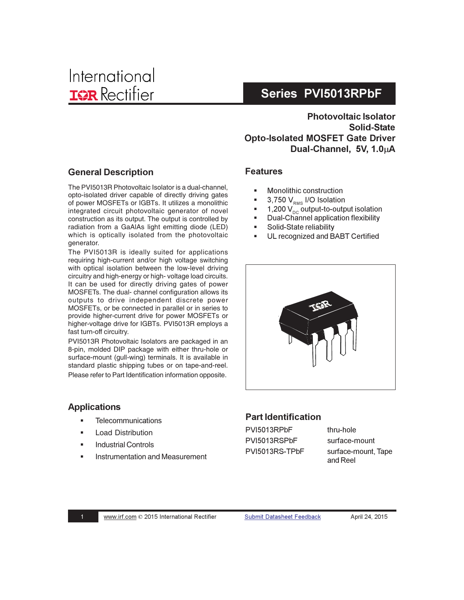**Photovoltaic Isolator** Solid-State **Opto-Isolated MOSFET Gate Driver** Dual-Channel. 5V. 1.0uA

## **General Description**

The PVI5013R Photovoltaic Isolator is a dual-channel, opto-isolated driver capable of directly driving gates of power MOSFETs or IGBTs. It utilizes a monolithic integrated circuit photovoltaic generator of novel construction as its output. The output is controlled by radiation from a GaAlAs light emitting diode (LED) which is optically isolated from the photovoltaic generator.

The PVI5013R is ideally suited for applications requiring high-current and/or high voltage switching with optical isolation between the low-level driving circuitry and high-energy or high- voltage load circuits. It can be used for directly driving gates of power MOSFETs. The dual- channel configuration allows its outputs to drive independent discrete power MOSFETs, or be connected in parallel or in series to provide higher-current drive for power MOSFETs or higher-voltage drive for IGBTs. PVI5013R employs a fast turn-off circuitry.

PVI5013R Photovoltaic Isolators are packaged in an 8-pin, molded DIP package with either thru-hole or surface-mount (gull-wing) terminals. It is available in standard plastic shipping tubes or on tape-and-reel. Please refer to Part Identification information opposite.

### **Applications**

- -**Example 1 Telecommunications**
- -Load Distribution
- -Industrial Controls
- -Instrumentation and Measurement

### **Features**

- -**Nonolithic construction**
- - $\blacksquare$  3,750  $\mathsf{V}_{_{\mathsf{RMS}}}$  I/O Isolation
- -■ 1,200 V $_{\rm \scriptscriptstyle DC}$  output-to-output isolation
- -**Dual-Channel application flexibility**
- -Solid-State reliability
- -UL recognized and BABT Certified



### **Part Identification**

PVI5013RPbF thru-hole PVI5013RSPbF surface-mount PVI5013RS-TPbF

PbF surface-mount, Tape and Reel

- $\overline{\phantom{a}}$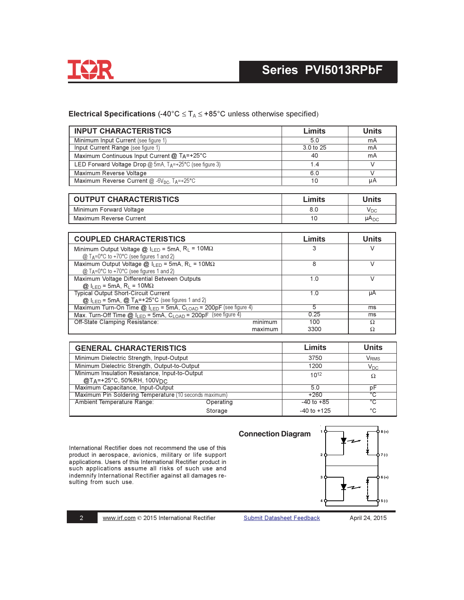

### Electrical Specifications (-40°C  $\leq T_A \leq$  +85°C unless otherwise specified)

| <b>INPUT CHARACTERISTICS</b>                                          | Limits    | Units |
|-----------------------------------------------------------------------|-----------|-------|
| Minimum Input Current (see figure 1)                                  | 5.0       | mA    |
| Input Current Range (see figure 1)                                    | 3.0 to 25 | mA    |
| Maximum Continuous Input Current @ TA=+25°C                           | 40        | mA    |
| LED Forward Voltage Drop $@$ 5mA, $T_A = +25^\circ C$ (see figure 3)  | 14        |       |
| Maximum Reverse Voltage                                               | 6.0       |       |
| Maximum Reverse Current $@$ -6V <sub>DC</sub> , T <sub>A</sub> =+25°C | 10        | uА    |
|                                                                       |           |       |

| <b>OUTPUT CHARACTERISTICS</b> | Limits | <b>Jnits</b> |
|-------------------------------|--------|--------------|
| Minimum Forward Voltage       | 8.C    | VDC          |
| Maximum Reverse Current       | 10     | $\mu A_{DC}$ |

| <b>COUPLED CHARACTERISTICS</b>                                                        | Limits | Units |
|---------------------------------------------------------------------------------------|--------|-------|
| Minimum Output Voltage $@$ ILED = 5mA, RL = 10M $\Omega$                              | 3      |       |
| @ T <sub>A</sub> =0°C to +70°C (see figures 1 and 2)                                  |        |       |
| Maximum Output Voltage @ $I_{LED} = 5mA$ , R <sub>L</sub> = 10M $\Omega$              | 8      |       |
| @ TA=0°C to +70°C (see figures 1 and 2)                                               |        |       |
| Maximum Voltage Differential Between Outputs                                          | 1.0    |       |
| $Q_1 _{F} = 5$ mA, R <sub>1</sub> = 10MΩ                                              |        |       |
| <b>Typical Output Short-Circuit Current</b>                                           | 10     | uА    |
| $\omega$ I <sub>LED</sub> = 5mA, $\omega$ T <sub>A</sub> =+25°C (see figures 1 and 2) |        |       |
| Maximum Turn-On Time @ ILED = 5mA, CLOAD = 200pF (see figure 4)                       | 5      | ms    |
| Max. Turn-Off Time $@$ , $I_{LED} = 5mA$ , $C_{LOAD} = 200pF$ (see figure 4)          | 0.25   | ms    |
| Off-State Clamping Resistance:<br>minimum                                             | 100    | Ω     |
| maximum                                                                               | 3300   | Ω     |

| <b>GENERAL CHARACTERISTICS</b>                         |           | Limits          | <b>Units</b>            |
|--------------------------------------------------------|-----------|-----------------|-------------------------|
| Minimum Dielectric Strength, Input-Output              |           | 3750            | <b>V</b> <sub>RMS</sub> |
| Minimum Dielectric Strength, Output-to-Output          |           | 1200            | $V_{DC}$                |
| Minimum Insulation Resistance, Input-to-Output         |           | $10^{12}$       | Ω                       |
| @TA=+25°C, 50%RH, 100V <sub>DC</sub>                   |           |                 |                         |
| Maximum Capacitance, Input-Output                      |           | 5.0             | рF                      |
| Maximum Pin Soldering Temperature (10 seconds maximum) |           | $+260$          | °C                      |
| Ambient Temperature Range:                             | Operating | $-40$ to $+85$  | °C                      |
|                                                        | Storage   | $-40$ to $+125$ | °C                      |

International Rectifier does not recommend the use of this<br>product in aerospace, avionics, military or life support applications. Users of this International Rectifier product in such applications assume all risks of such use and indemnify International Rectifier against all damages resulting from such use.



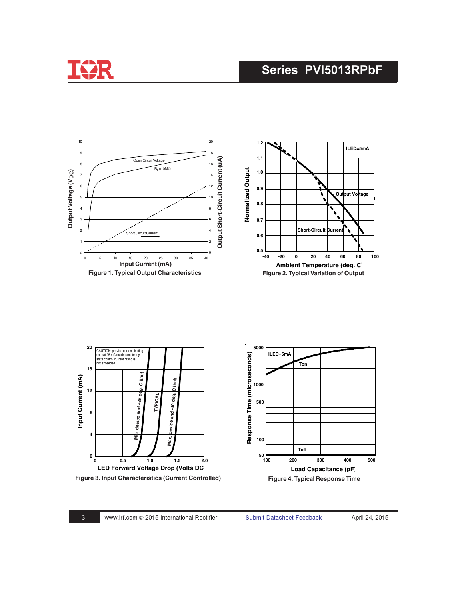



& -

Submit Datasheet Feedback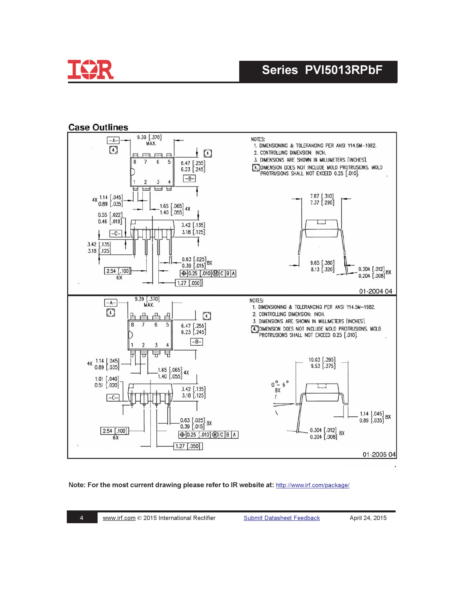

### **Case Outlines**



#### Note: For the most current drawing please refer to IR website at: http://www.irf.com/package/

**Submit Datasheet Feedback**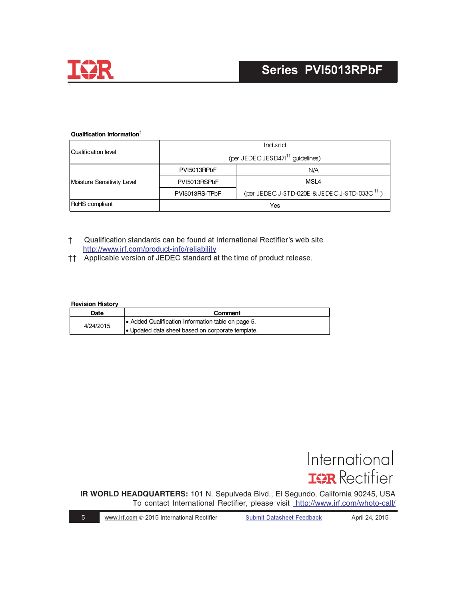

#### **Qualification information**†

|                            | Indusrid                                     |                                                          |  |
|----------------------------|----------------------------------------------|----------------------------------------------------------|--|
| Qualification level        | (per JEDEC JESD471 <sup>tt</sup> guidelines) |                                                          |  |
| Moisture Sensitivity Level | PVI5013RPbF                                  | N/A                                                      |  |
|                            | PVI5013RSPbF                                 | MSL4                                                     |  |
|                            | PVI5013RS-TPbF                               | (per JEDEC J-STD-020E & JEDEC J-STD-033C <sup>tt</sup> ) |  |
| RoHS compliant             | Yes                                          |                                                          |  |

- † Qualification standards can be found at International Rectifier's web site http://www.irf.com/product-info/reliability
- † Applicable version of JEDEC standard at the time of product release.

#### **Revision History**

| Date      | Comment                                            |
|-----------|----------------------------------------------------|
| 4/24/2015 | • Added Qualification Information table on page 5. |
|           | • Updated data sheet based on corporate template.  |



**IR WORLD HEADQUARTERS:** 101 N. Sepulveda Blvd., El Segundo, California 90245, USA To contact International Rectifier, please visit <http://www.irf.com/whoto-call/>